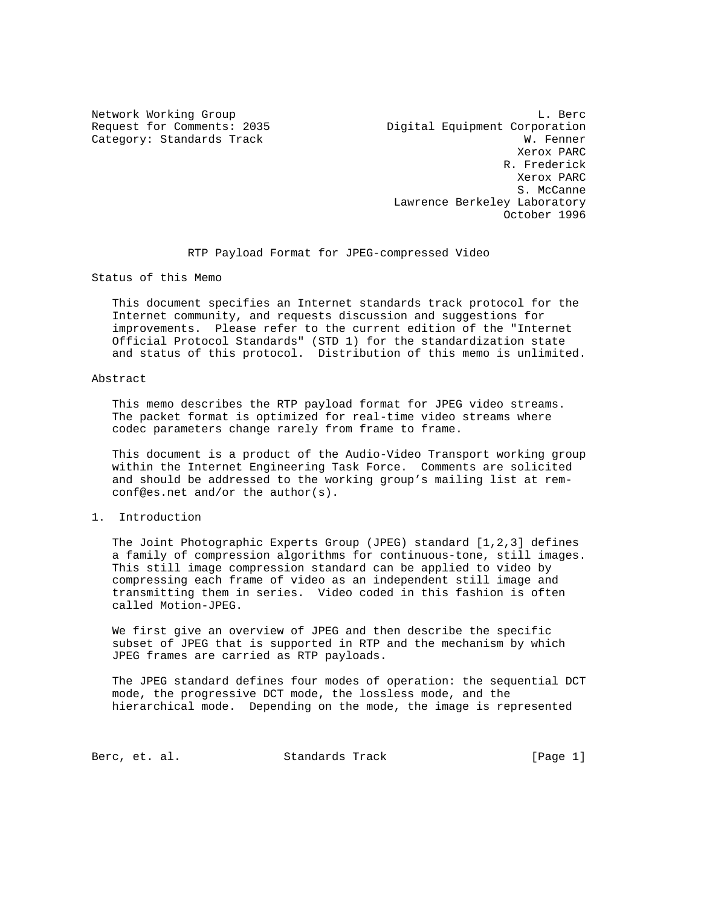Network Working Group and the set of the set of the set of the set of the set of the set of the set of the set of the set of the set of the set of the set of the set of the set of the set of the set of the set of the set o Request for Comments: 2035 Digital Equipment Corporation Category: Standards Track W. Fenner Xerox PARC R. Frederick Xerox PARC S. McCanne Lawrence Berkeley Laboratory October 1996

RTP Payload Format for JPEG-compressed Video

Status of this Memo

 This document specifies an Internet standards track protocol for the Internet community, and requests discussion and suggestions for improvements. Please refer to the current edition of the "Internet Official Protocol Standards" (STD 1) for the standardization state and status of this protocol. Distribution of this memo is unlimited.

#### Abstract

 This memo describes the RTP payload format for JPEG video streams. The packet format is optimized for real-time video streams where codec parameters change rarely from frame to frame.

 This document is a product of the Audio-Video Transport working group within the Internet Engineering Task Force. Comments are solicited and should be addressed to the working group's mailing list at rem conf@es.net and/or the author(s).

#### 1. Introduction

 The Joint Photographic Experts Group (JPEG) standard [1,2,3] defines a family of compression algorithms for continuous-tone, still images. This still image compression standard can be applied to video by compressing each frame of video as an independent still image and transmitting them in series. Video coded in this fashion is often called Motion-JPEG.

 We first give an overview of JPEG and then describe the specific subset of JPEG that is supported in RTP and the mechanism by which JPEG frames are carried as RTP payloads.

 The JPEG standard defines four modes of operation: the sequential DCT mode, the progressive DCT mode, the lossless mode, and the hierarchical mode. Depending on the mode, the image is represented

Berc, et. al. Standards Track [Page 1]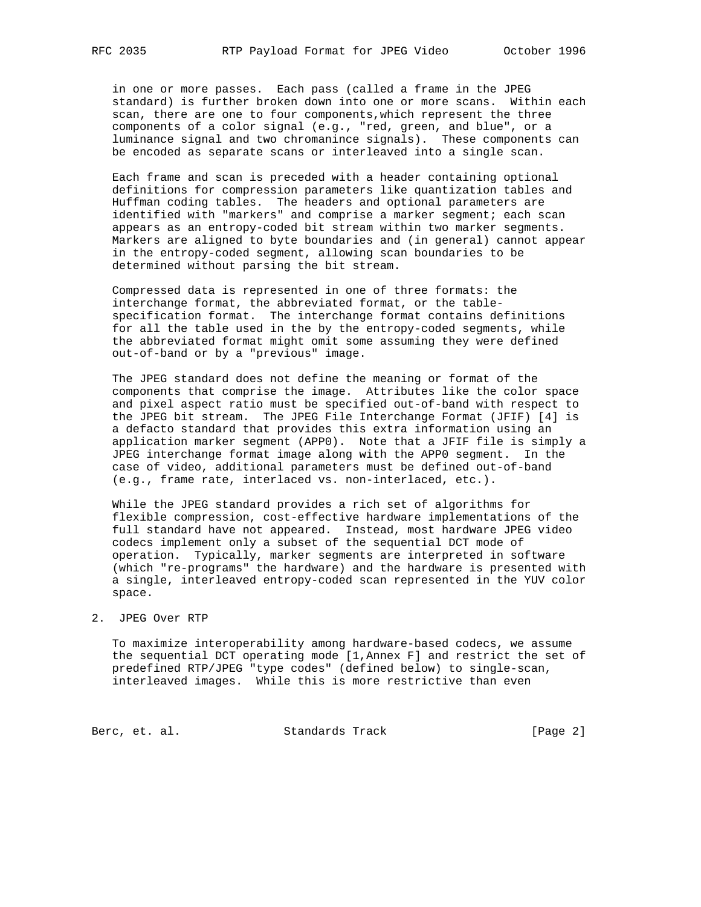in one or more passes. Each pass (called a frame in the JPEG standard) is further broken down into one or more scans. Within each scan, there are one to four components,which represent the three components of a color signal (e.g., "red, green, and blue", or a luminance signal and two chromanince signals). These components can be encoded as separate scans or interleaved into a single scan.

 Each frame and scan is preceded with a header containing optional definitions for compression parameters like quantization tables and Huffman coding tables. The headers and optional parameters are identified with "markers" and comprise a marker segment; each scan appears as an entropy-coded bit stream within two marker segments. Markers are aligned to byte boundaries and (in general) cannot appear in the entropy-coded segment, allowing scan boundaries to be determined without parsing the bit stream.

 Compressed data is represented in one of three formats: the interchange format, the abbreviated format, or the table specification format. The interchange format contains definitions for all the table used in the by the entropy-coded segments, while the abbreviated format might omit some assuming they were defined out-of-band or by a "previous" image.

 The JPEG standard does not define the meaning or format of the components that comprise the image. Attributes like the color space and pixel aspect ratio must be specified out-of-band with respect to the JPEG bit stream. The JPEG File Interchange Format (JFIF) [4] is a defacto standard that provides this extra information using an application marker segment (APP0). Note that a JFIF file is simply a JPEG interchange format image along with the APP0 segment. In the case of video, additional parameters must be defined out-of-band (e.g., frame rate, interlaced vs. non-interlaced, etc.).

 While the JPEG standard provides a rich set of algorithms for flexible compression, cost-effective hardware implementations of the full standard have not appeared. Instead, most hardware JPEG video codecs implement only a subset of the sequential DCT mode of operation. Typically, marker segments are interpreted in software (which "re-programs" the hardware) and the hardware is presented with a single, interleaved entropy-coded scan represented in the YUV color space.

#### 2. JPEG Over RTP

 To maximize interoperability among hardware-based codecs, we assume the sequential DCT operating mode [1,Annex F] and restrict the set of predefined RTP/JPEG "type codes" (defined below) to single-scan, interleaved images. While this is more restrictive than even

Berc, et. al. Standards Track [Page 2]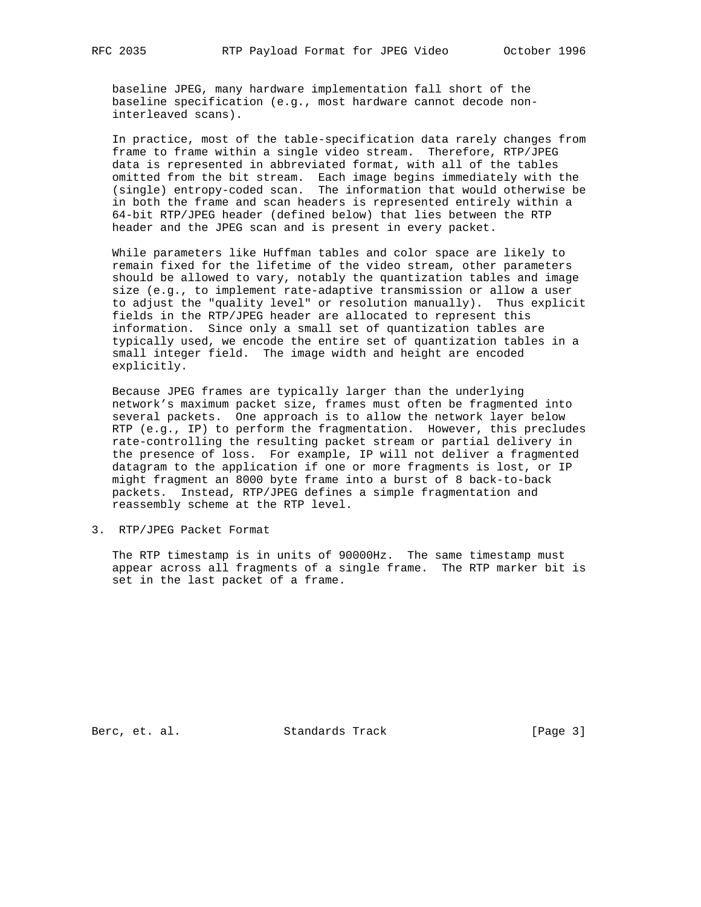baseline JPEG, many hardware implementation fall short of the baseline specification (e.g., most hardware cannot decode non interleaved scans).

 In practice, most of the table-specification data rarely changes from frame to frame within a single video stream. Therefore, RTP/JPEG data is represented in abbreviated format, with all of the tables omitted from the bit stream. Each image begins immediately with the (single) entropy-coded scan. The information that would otherwise be in both the frame and scan headers is represented entirely within a 64-bit RTP/JPEG header (defined below) that lies between the RTP header and the JPEG scan and is present in every packet.

 While parameters like Huffman tables and color space are likely to remain fixed for the lifetime of the video stream, other parameters should be allowed to vary, notably the quantization tables and image size (e.g., to implement rate-adaptive transmission or allow a user to adjust the "quality level" or resolution manually). Thus explicit fields in the RTP/JPEG header are allocated to represent this information. Since only a small set of quantization tables are typically used, we encode the entire set of quantization tables in a small integer field. The image width and height are encoded explicitly.

 Because JPEG frames are typically larger than the underlying network's maximum packet size, frames must often be fragmented into several packets. One approach is to allow the network layer below RTP (e.g., IP) to perform the fragmentation. However, this precludes rate-controlling the resulting packet stream or partial delivery in the presence of loss. For example, IP will not deliver a fragmented datagram to the application if one or more fragments is lost, or IP might fragment an 8000 byte frame into a burst of 8 back-to-back packets. Instead, RTP/JPEG defines a simple fragmentation and reassembly scheme at the RTP level.

3. RTP/JPEG Packet Format

 The RTP timestamp is in units of 90000Hz. The same timestamp must appear across all fragments of a single frame. The RTP marker bit is set in the last packet of a frame.

Berc, et. al. Standards Track [Page 3]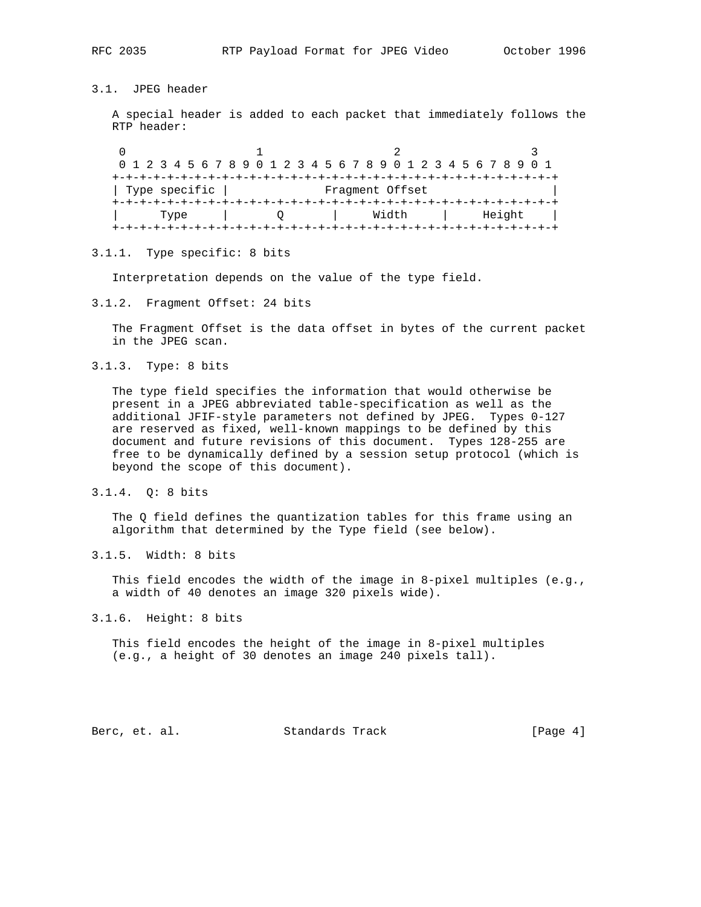# 3.1. JPEG header

 A special header is added to each packet that immediately follows the RTP header:

0  $1$  2 3 0 1 2 3 4 5 6 7 8 9 0 1 2 3 4 5 6 7 8 9 0 1 2 3 4 5 6 7 8 9 0 1 +-+-+-+-+-+-+-+-+-+-+-+-+-+-+-+-+-+-+-+-+-+-+-+-+-+-+-+-+-+-+-+-+ | Type specific | Fragment Offset +-+-+-+-+-+-+-+-+-+-+-+-+-+-+-+-+-+-+-+-+-+-+-+-+-+-+-+-+-+-+-+-+ | Type | Q | Width | Height | +-+-+-+-+-+-+-+-+-+-+-+-+-+-+-+-+-+-+-+-+-+-+-+-+-+-+-+-+-+-+-+-+

#### 3.1.1. Type specific: 8 bits

Interpretation depends on the value of the type field.

3.1.2. Fragment Offset: 24 bits

 The Fragment Offset is the data offset in bytes of the current packet in the JPEG scan.

3.1.3. Type: 8 bits

 The type field specifies the information that would otherwise be present in a JPEG abbreviated table-specification as well as the additional JFIF-style parameters not defined by JPEG. Types 0-127 are reserved as fixed, well-known mappings to be defined by this document and future revisions of this document. Types 128-255 are free to be dynamically defined by a session setup protocol (which is beyond the scope of this document).

3.1.4. Q: 8 bits

 The Q field defines the quantization tables for this frame using an algorithm that determined by the Type field (see below).

3.1.5. Width: 8 bits

 This field encodes the width of the image in 8-pixel multiples (e.g., a width of 40 denotes an image 320 pixels wide).

3.1.6. Height: 8 bits

 This field encodes the height of the image in 8-pixel multiples (e.g., a height of 30 denotes an image 240 pixels tall).

Berc, et. al. Standards Track [Page 4]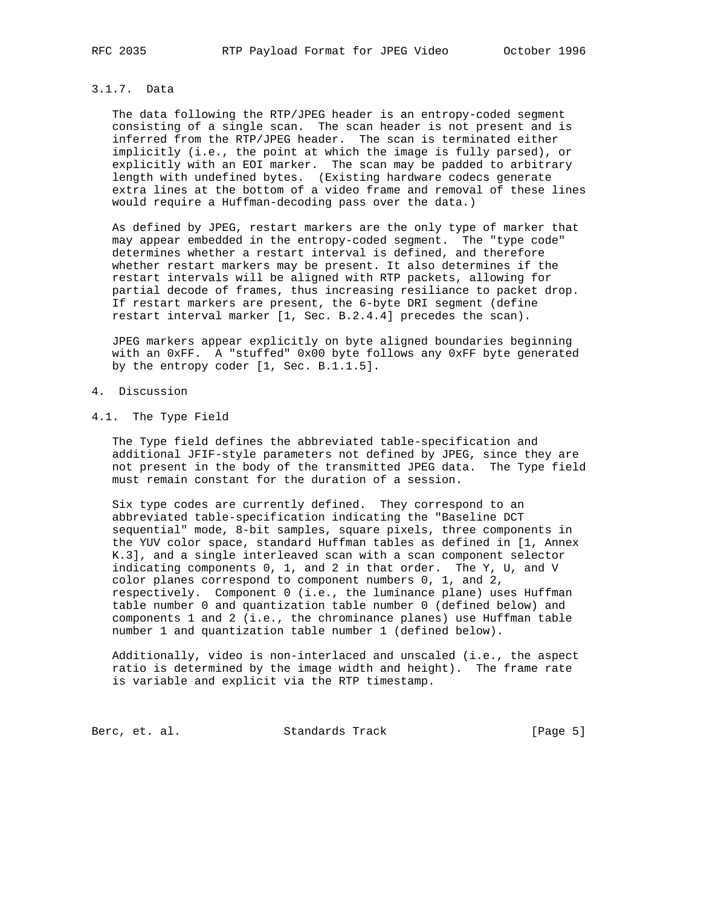# 3.1.7. Data

 The data following the RTP/JPEG header is an entropy-coded segment consisting of a single scan. The scan header is not present and is inferred from the RTP/JPEG header. The scan is terminated either implicitly (i.e., the point at which the image is fully parsed), or explicitly with an EOI marker. The scan may be padded to arbitrary length with undefined bytes. (Existing hardware codecs generate extra lines at the bottom of a video frame and removal of these lines would require a Huffman-decoding pass over the data.)

 As defined by JPEG, restart markers are the only type of marker that may appear embedded in the entropy-coded segment. The "type code" determines whether a restart interval is defined, and therefore whether restart markers may be present. It also determines if the restart intervals will be aligned with RTP packets, allowing for partial decode of frames, thus increasing resiliance to packet drop. If restart markers are present, the 6-byte DRI segment (define restart interval marker [1, Sec. B.2.4.4] precedes the scan).

 JPEG markers appear explicitly on byte aligned boundaries beginning with an 0xFF. A "stuffed" 0x00 byte follows any 0xFF byte generated by the entropy coder [1, Sec. B.1.1.5].

# 4. Discussion

# 4.1. The Type Field

 The Type field defines the abbreviated table-specification and additional JFIF-style parameters not defined by JPEG, since they are not present in the body of the transmitted JPEG data. The Type field must remain constant for the duration of a session.

 Six type codes are currently defined. They correspond to an abbreviated table-specification indicating the "Baseline DCT sequential" mode, 8-bit samples, square pixels, three components in the YUV color space, standard Huffman tables as defined in [1, Annex K.3], and a single interleaved scan with a scan component selector indicating components 0, 1, and 2 in that order. The Y, U, and V color planes correspond to component numbers 0, 1, and 2, respectively. Component 0 (i.e., the luminance plane) uses Huffman table number 0 and quantization table number 0 (defined below) and components 1 and 2 (i.e., the chrominance planes) use Huffman table number 1 and quantization table number 1 (defined below).

 Additionally, video is non-interlaced and unscaled (i.e., the aspect ratio is determined by the image width and height). The frame rate is variable and explicit via the RTP timestamp.

Berc, et. al. Standards Track [Page 5]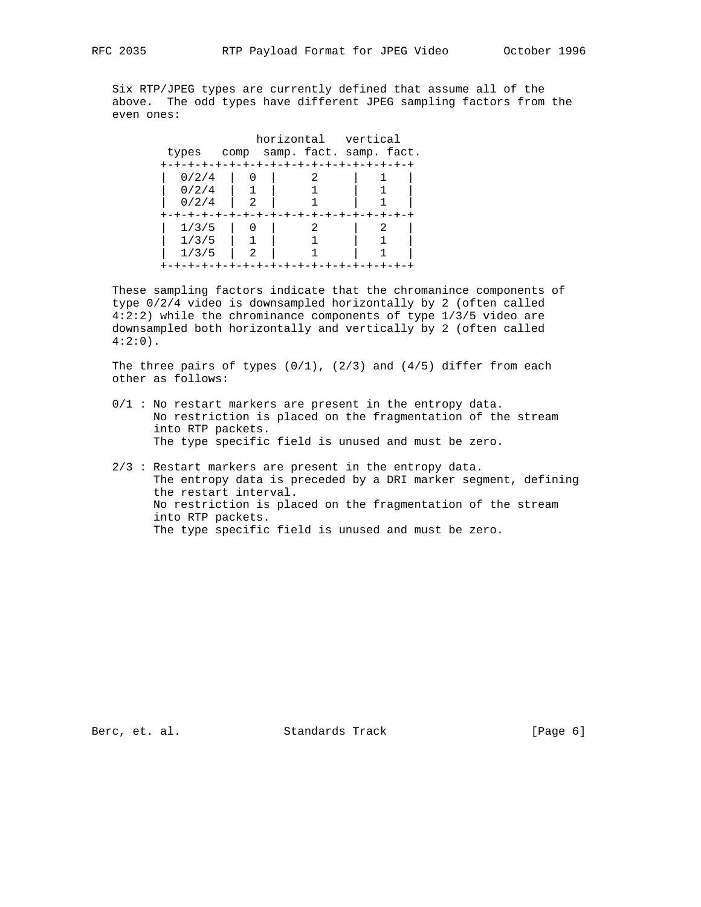Six RTP/JPEG types are currently defined that assume all of the above. The odd types have different JPEG sampling factors from the even ones:

|       |      | horizontal vertical |                         |
|-------|------|---------------------|-------------------------|
| types | comp |                     | samp. fact. samp. fact. |
|       |      |                     |                         |
| 0/2/4 |      |                     |                         |
| 0/2/4 |      |                     |                         |
| 0/2/4 | 2    |                     |                         |
|       |      |                     |                         |
| 1/3/5 |      |                     |                         |
| 1/3/5 |      |                     |                         |
| 1/3/5 | 2    |                     |                         |
|       |      |                     |                         |

 These sampling factors indicate that the chromanince components of type 0/2/4 video is downsampled horizontally by 2 (often called 4:2:2) while the chrominance components of type 1/3/5 video are downsampled both horizontally and vertically by 2 (often called  $4:2:0$ ).

The three pairs of types  $(0/1)$ ,  $(2/3)$  and  $(4/5)$  differ from each other as follows:

- $0/1$  : No restart markers are present in the entropy data. No restriction is placed on the fragmentation of the stream into RTP packets. The type specific field is unused and must be zero.
- 2/3 : Restart markers are present in the entropy data. The entropy data is preceded by a DRI marker segment, defining the restart interval. No restriction is placed on the fragmentation of the stream into RTP packets. The type specific field is unused and must be zero.

Berc, et. al. Standards Track [Page 6]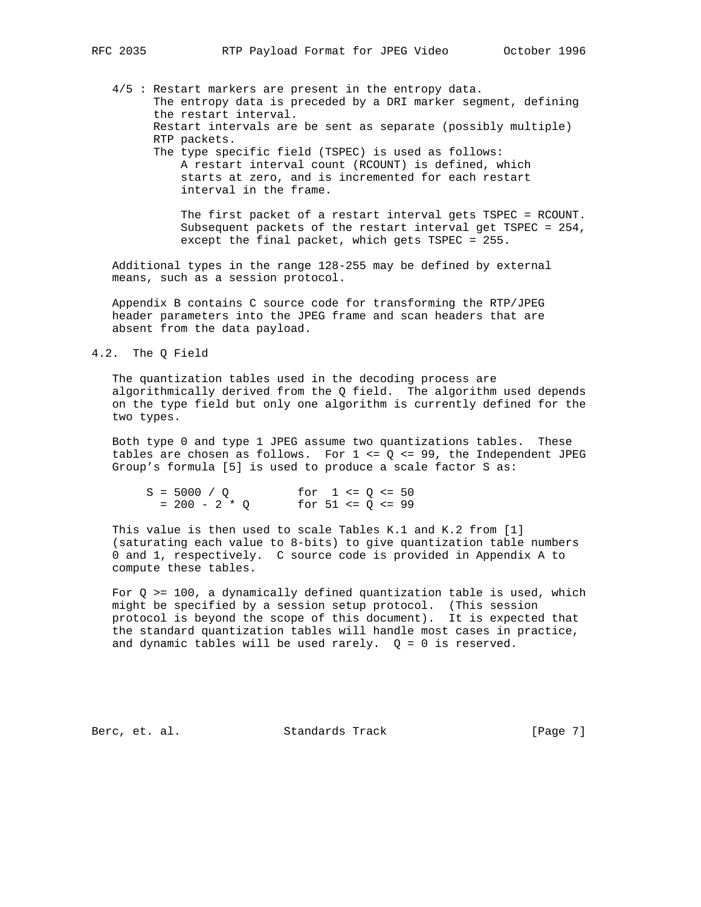4/5 : Restart markers are present in the entropy data. The entropy data is preceded by a DRI marker segment, defining the restart interval. Restart intervals are be sent as separate (possibly multiple) RTP packets. The type specific field (TSPEC) is used as follows: A restart interval count (RCOUNT) is defined, which starts at zero, and is incremented for each restart

> interval in the frame. The first packet of a restart interval gets TSPEC = RCOUNT. Subsequent packets of the restart interval get TSPEC = 254,

 except the final packet, which gets TSPEC = 255. Additional types in the range 128-255 may be defined by external means, such as a session protocol.

 Appendix B contains C source code for transforming the RTP/JPEG header parameters into the JPEG frame and scan headers that are absent from the data payload.

#### 4.2. The Q Field

 The quantization tables used in the decoding process are algorithmically derived from the Q field. The algorithm used depends on the type field but only one algorithm is currently defined for the two types.

 Both type 0 and type 1 JPEG assume two quantizations tables. These tables are chosen as follows. For  $1 \leq Q \leq 99$ , the Independent JPEG Group's formula [5] is used to produce a scale factor S as:

| $S = 5000 / Q$  | for $1 \leq Q \leq 50$  |  |  |  |
|-----------------|-------------------------|--|--|--|
| $= 200 - 2 * 0$ | for $51 \leq Q \leq 99$ |  |  |  |

 This value is then used to scale Tables K.1 and K.2 from [1] (saturating each value to 8-bits) to give quantization table numbers 0 and 1, respectively. C source code is provided in Appendix A to compute these tables.

For  $Q$  >= 100, a dynamically defined quantization table is used, which might be specified by a session setup protocol. (This session protocol is beyond the scope of this document). It is expected that the standard quantization tables will handle most cases in practice, and dynamic tables will be used rarely.  $Q = 0$  is reserved.

Berc, et. al. Standards Track [Page 7]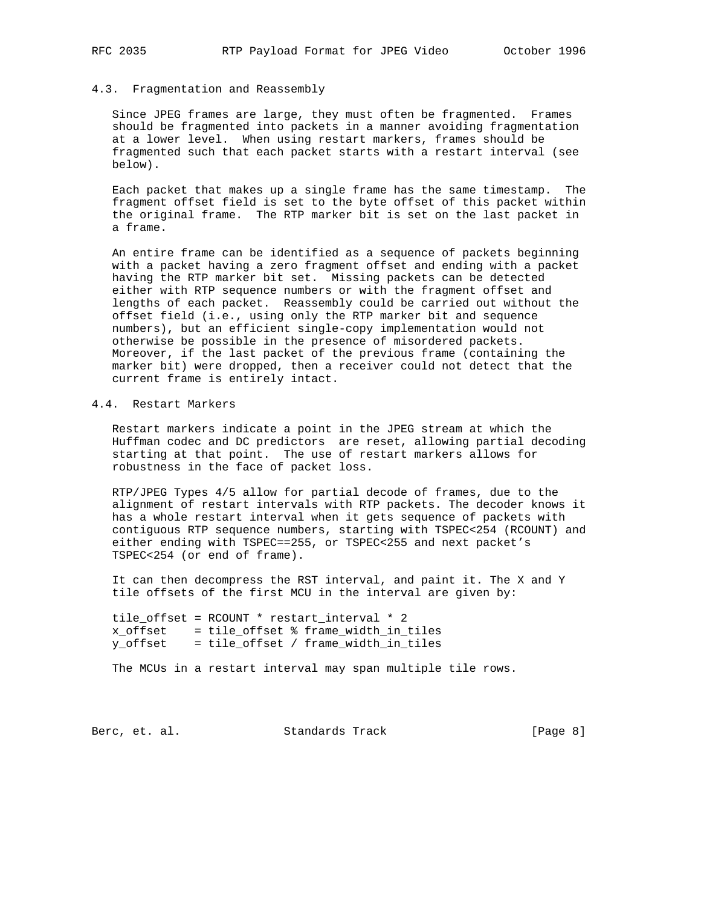#### 4.3. Fragmentation and Reassembly

 Since JPEG frames are large, they must often be fragmented. Frames should be fragmented into packets in a manner avoiding fragmentation at a lower level. When using restart markers, frames should be fragmented such that each packet starts with a restart interval (see below).

 Each packet that makes up a single frame has the same timestamp. The fragment offset field is set to the byte offset of this packet within the original frame. The RTP marker bit is set on the last packet in a frame.

 An entire frame can be identified as a sequence of packets beginning with a packet having a zero fragment offset and ending with a packet having the RTP marker bit set. Missing packets can be detected either with RTP sequence numbers or with the fragment offset and lengths of each packet. Reassembly could be carried out without the offset field (i.e., using only the RTP marker bit and sequence numbers), but an efficient single-copy implementation would not otherwise be possible in the presence of misordered packets. Moreover, if the last packet of the previous frame (containing the marker bit) were dropped, then a receiver could not detect that the current frame is entirely intact.

### 4.4. Restart Markers

 Restart markers indicate a point in the JPEG stream at which the Huffman codec and DC predictors are reset, allowing partial decoding starting at that point. The use of restart markers allows for robustness in the face of packet loss.

 RTP/JPEG Types 4/5 allow for partial decode of frames, due to the alignment of restart intervals with RTP packets. The decoder knows it has a whole restart interval when it gets sequence of packets with contiguous RTP sequence numbers, starting with TSPEC<254 (RCOUNT) and either ending with TSPEC==255, or TSPEC<255 and next packet's TSPEC<254 (or end of frame).

 It can then decompress the RST interval, and paint it. The X and Y tile offsets of the first MCU in the interval are given by:

 tile\_offset = RCOUNT \* restart\_interval \* 2 x\_offset = tile\_offset % frame\_width\_in\_tiles y\_offset = tile\_offset / frame\_width\_in\_tiles

The MCUs in a restart interval may span multiple tile rows.

Berc, et. al. Standards Track [Page 8]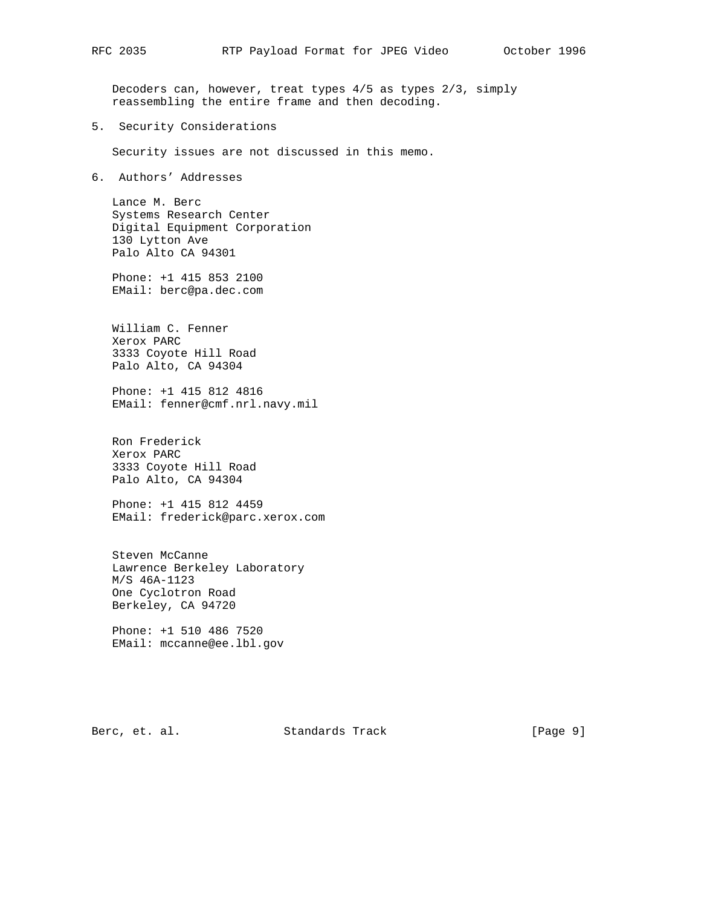Decoders can, however, treat types 4/5 as types 2/3, simply reassembling the entire frame and then decoding.

5. Security Considerations

Security issues are not discussed in this memo.

6. Authors' Addresses

 Lance M. Berc Systems Research Center Digital Equipment Corporation 130 Lytton Ave Palo Alto CA 94301

 Phone: +1 415 853 2100 EMail: berc@pa.dec.com

 William C. Fenner Xerox PARC 3333 Coyote Hill Road Palo Alto, CA 94304

 Phone: +1 415 812 4816 EMail: fenner@cmf.nrl.navy.mil

 Ron Frederick Xerox PARC 3333 Coyote Hill Road Palo Alto, CA 94304

 Phone: +1 415 812 4459 EMail: frederick@parc.xerox.com

 Steven McCanne Lawrence Berkeley Laboratory M/S 46A-1123 One Cyclotron Road Berkeley, CA 94720

 Phone: +1 510 486 7520 EMail: mccanne@ee.lbl.gov

Berc, et. al. Standards Track [Page 9]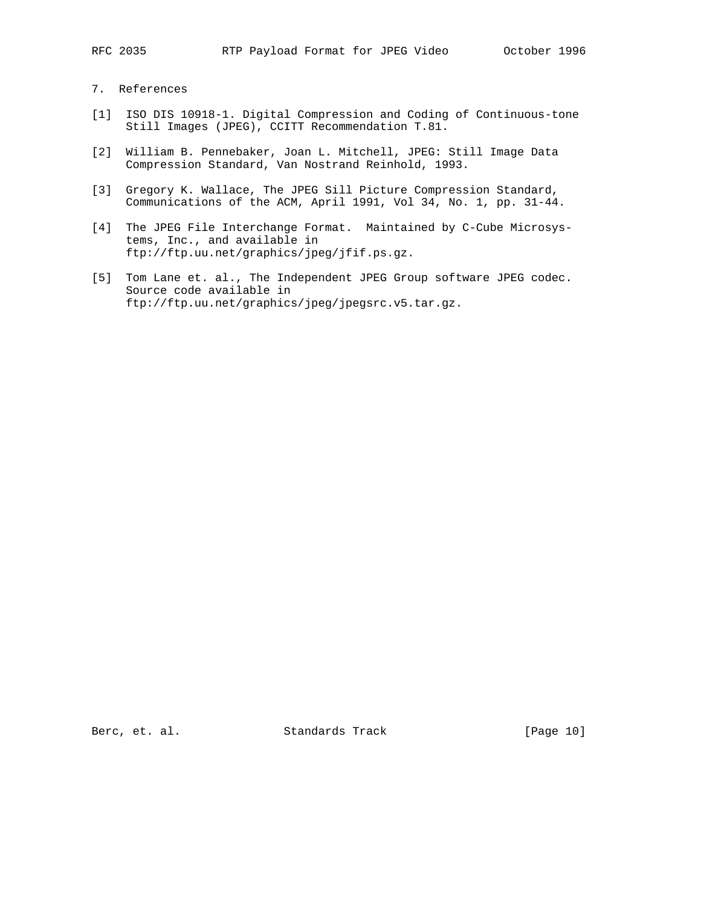## 7. References

- [1] ISO DIS 10918-1. Digital Compression and Coding of Continuous-tone Still Images (JPEG), CCITT Recommendation T.81.
- [2] William B. Pennebaker, Joan L. Mitchell, JPEG: Still Image Data Compression Standard, Van Nostrand Reinhold, 1993.
- [3] Gregory K. Wallace, The JPEG Sill Picture Compression Standard, Communications of the ACM, April 1991, Vol 34, No. 1, pp. 31-44.
- [4] The JPEG File Interchange Format. Maintained by C-Cube Microsys tems, Inc., and available in ftp://ftp.uu.net/graphics/jpeg/jfif.ps.gz.
- [5] Tom Lane et. al., The Independent JPEG Group software JPEG codec. Source code available in ftp://ftp.uu.net/graphics/jpeg/jpegsrc.v5.tar.gz.

Berc, et. al. Standards Track [Page 10]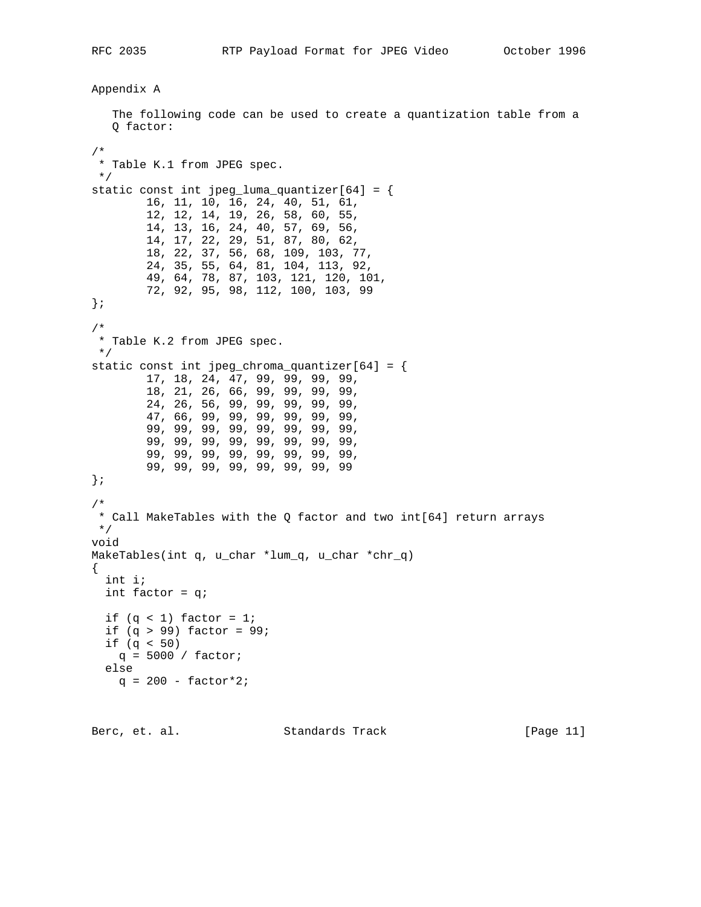# Appendix A

 The following code can be used to create a quantization table from a Q factor: /\* \* Table K.1 from JPEG spec. \*/ static const int jpeg\_luma\_quantizer[64] = { 16, 11, 10, 16, 24, 40, 51, 61, 12, 12, 14, 19, 26, 58, 60, 55, 14, 13, 16, 24, 40, 57, 69, 56, 14, 17, 22, 29, 51, 87, 80, 62, 18, 22, 37, 56, 68, 109, 103, 77, 24, 35, 55, 64, 81, 104, 113, 92, 49, 64, 78, 87, 103, 121, 120, 101, 72, 92, 95, 98, 112, 100, 103, 99 }; /\* \* Table K.2 from JPEG spec. \*/ static const int jpeg\_chroma\_quantizer[64] = { 17, 18, 24, 47, 99, 99, 99, 99, 18, 21, 26, 66, 99, 99, 99, 99, 24, 26, 56, 99, 99, 99, 99, 99, 47, 66, 99, 99, 99, 99, 99, 99, 99, 99, 99, 99, 99, 99, 99, 99, 99, 99, 99, 99, 99, 99, 99, 99, 99, 99, 99, 99, 99, 99, 99, 99, 99, 99, 99, 99, 99, 99, 99, 99 }; /\* \* Call MakeTables with the Q factor and two int[64] return arrays \*/ void MakeTables(int q, u\_char \*lum\_q, u\_char \*chr\_q) { int i; int factor = q; if  $(q < 1)$  factor = 1; if  $(q > 99)$  factor = 99; if  $(q < 50)$  $q = 5000 / factor$ ; else  $q = 200 - factor*2;$ 

Berc, et. al. Standards Track [Page 11]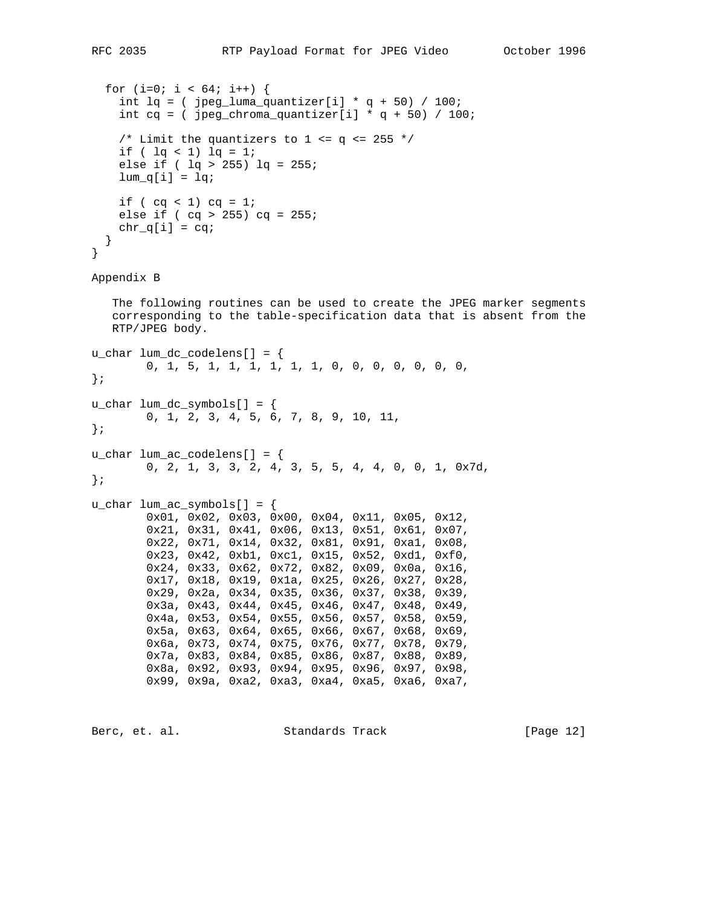```
for (i=0; i < 64; i++) {
    int lq = ( jpeg_luma_quantizer[i] * q + 50) / 100;
    int cq = ( jpeg_chroma_quantizer[i] * q + 50) / 100;
    /* Limit the quantizers to 1 \leq q \leq 255 */
    if ( \lg < 1) \lg = 1; else if ( lq > 255) lq = 255;
    lum_q[i] = lqiif ( cq < 1) cq = 1;
    else if ( cq > 255) cq = 255;
   chr_q[i] = cq; }
}
```

```
Appendix B
```
 The following routines can be used to create the JPEG marker segments corresponding to the table-specification data that is absent from the RTP/JPEG body.

```
u_char lum_dc_codelens[] = {
         0, 1, 5, 1, 1, 1, 1, 1, 1, 0, 0, 0, 0, 0, 0, 0,
};
u_char lum_dc_symbols[] = {
         0, 1, 2, 3, 4, 5, 6, 7, 8, 9, 10, 11,
};
u_char lum_ac_codelens[] = {
         0, 2, 1, 3, 3, 2, 4, 3, 5, 5, 4, 4, 0, 0, 1, 0x7d,
};
u char lum ac symbols[] = {
         0x01, 0x02, 0x03, 0x00, 0x04, 0x11, 0x05, 0x12,
         0x21, 0x31, 0x41, 0x06, 0x13, 0x51, 0x61, 0x07,
         0x22, 0x71, 0x14, 0x32, 0x81, 0x91, 0xa1, 0x08,
         0x23, 0x42, 0xb1, 0xc1, 0x15, 0x52, 0xd1, 0xf0,
         0x24, 0x33, 0x62, 0x72, 0x82, 0x09, 0x0a, 0x16,
         0x17, 0x18, 0x19, 0x1a, 0x25, 0x26, 0x27, 0x28,
         0x29, 0x2a, 0x34, 0x35, 0x36, 0x37, 0x38, 0x39,
         0x3a, 0x43, 0x44, 0x45, 0x46, 0x47, 0x48, 0x49,
         0x4a, 0x53, 0x54, 0x55, 0x56, 0x57, 0x58, 0x59,
         0x5a, 0x63, 0x64, 0x65, 0x66, 0x67, 0x68, 0x69,
         0x6a, 0x73, 0x74, 0x75, 0x76, 0x77, 0x78, 0x79,
         0x7a, 0x83, 0x84, 0x85, 0x86, 0x87, 0x88, 0x89,
         0x8a, 0x92, 0x93, 0x94, 0x95, 0x96, 0x97, 0x98,
         0x99, 0x9a, 0xa2, 0xa3, 0xa4, 0xa5, 0xa6, 0xa7,
```
Berc, et. al. Standards Track [Page 12]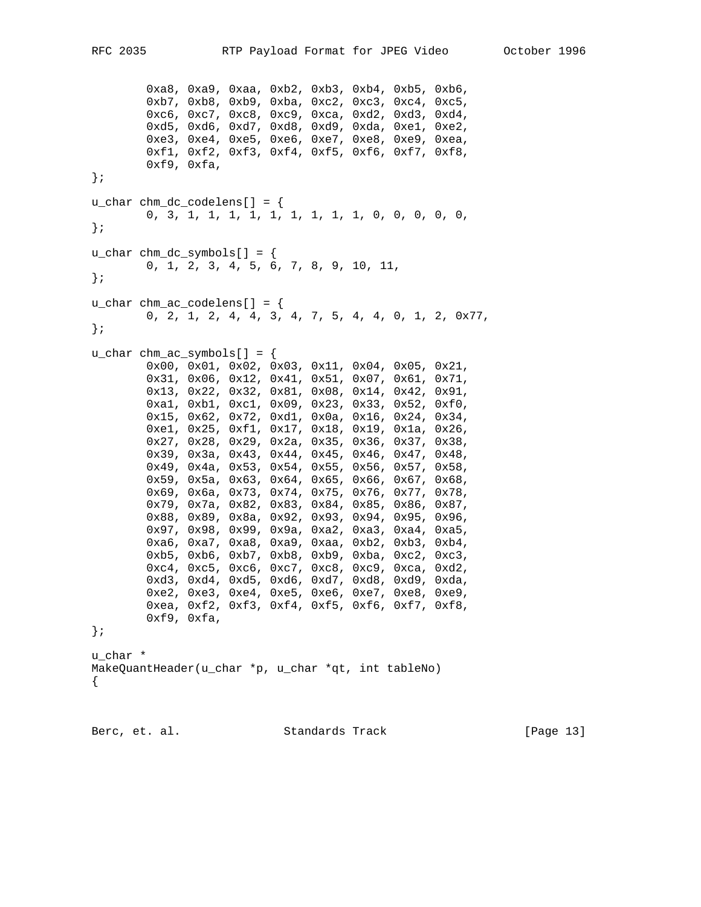```
 0xa8, 0xa9, 0xaa, 0xb2, 0xb3, 0xb4, 0xb5, 0xb6,
         0xb7, 0xb8, 0xb9, 0xba, 0xc2, 0xc3, 0xc4, 0xc5,
         0xc6, 0xc7, 0xc8, 0xc9, 0xca, 0xd2, 0xd3, 0xd4,
         0xd5, 0xd6, 0xd7, 0xd8, 0xd9, 0xda, 0xe1, 0xe2,
         0xe3, 0xe4, 0xe5, 0xe6, 0xe7, 0xe8, 0xe9, 0xea,
         0xf1, 0xf2, 0xf3, 0xf4, 0xf5, 0xf6, 0xf7, 0xf8,
         0xf9, 0xfa,
};
u_char chm_dc_codelens[] = {
         0, 3, 1, 1, 1, 1, 1, 1, 1, 1, 1, 0, 0, 0, 0, 0,
};
u_char chm_dc_symbols[] = \{ 0, 1, 2, 3, 4, 5, 6, 7, 8, 9, 10, 11,
};
u_char chm_ac_codelens[] = {
         0, 2, 1, 2, 4, 4, 3, 4, 7, 5, 4, 4, 0, 1, 2, 0x77,
};
u_char chm_ac_symbols[] = {
         0x00, 0x01, 0x02, 0x03, 0x11, 0x04, 0x05, 0x21,
         0x31, 0x06, 0x12, 0x41, 0x51, 0x07, 0x61, 0x71,
         0x13, 0x22, 0x32, 0x81, 0x08, 0x14, 0x42, 0x91,
         0xa1, 0xb1, 0xc1, 0x09, 0x23, 0x33, 0x52, 0xf0,
         0x15, 0x62, 0x72, 0xd1, 0x0a, 0x16, 0x24, 0x34,
         0xe1, 0x25, 0xf1, 0x17, 0x18, 0x19, 0x1a, 0x26,
         0x27, 0x28, 0x29, 0x2a, 0x35, 0x36, 0x37, 0x38,
         0x39, 0x3a, 0x43, 0x44, 0x45, 0x46, 0x47, 0x48,
         0x49, 0x4a, 0x53, 0x54, 0x55, 0x56, 0x57, 0x58,
         0x59, 0x5a, 0x63, 0x64, 0x65, 0x66, 0x67, 0x68,
         0x69, 0x6a, 0x73, 0x74, 0x75, 0x76, 0x77, 0x78,
         0x79, 0x7a, 0x82, 0x83, 0x84, 0x85, 0x86, 0x87,
         0x88, 0x89, 0x8a, 0x92, 0x93, 0x94, 0x95, 0x96,
         0x97, 0x98, 0x99, 0x9a, 0xa2, 0xa3, 0xa4, 0xa5,
         0xa6, 0xa7, 0xa8, 0xa9, 0xaa, 0xb2, 0xb3, 0xb4,
         0xb5, 0xb6, 0xb7, 0xb8, 0xb9, 0xba, 0xc2, 0xc3,
         0xc4, 0xc5, 0xc6, 0xc7, 0xc8, 0xc9, 0xca, 0xd2,
         0xd3, 0xd4, 0xd5, 0xd6, 0xd7, 0xd8, 0xd9, 0xda,
         0xe2, 0xe3, 0xe4, 0xe5, 0xe6, 0xe7, 0xe8, 0xe9,
         0xea, 0xf2, 0xf3, 0xf4, 0xf5, 0xf6, 0xf7, 0xf8,
         0xf9, 0xfa,
};
u_char *
MakeQuantHeader(u_char *p, u_char *qt, int tableNo)
{
```
Berc, et. al. Standards Track [Page 13]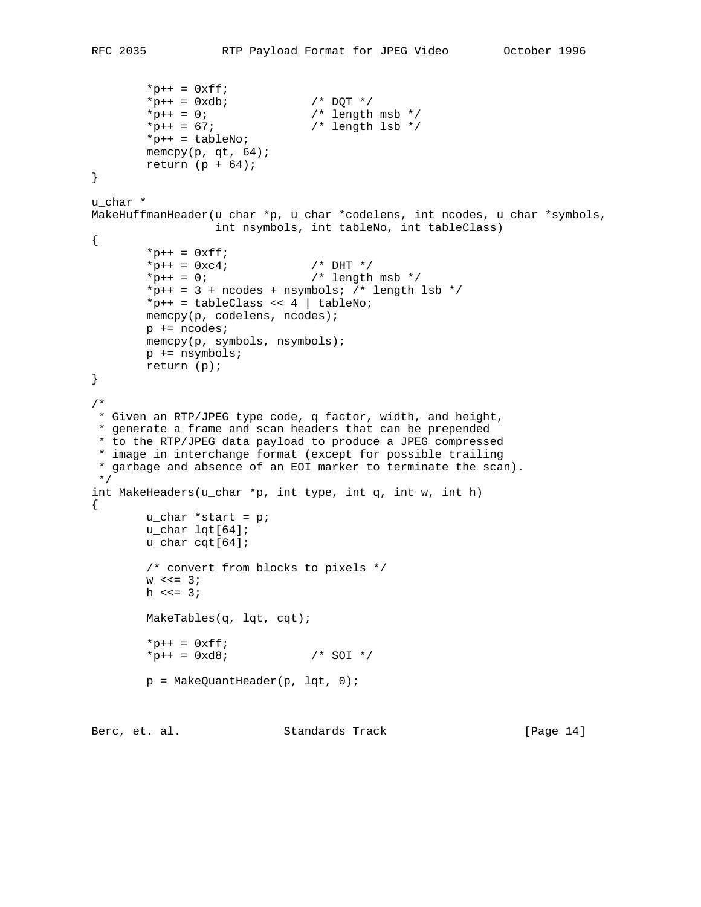```
*p++ = 0xff;*p++ = 0xdb; /* DQT */
*_{p++} = 0; /* length msb */
*_{p++} = 67; * length lsb */ *p++ = tableNo;
       memcpy(p, qt, 64);
       return (p + 64);
}
u_char *
MakeHuffmanHeader(u_char *p, u_char *codelens, int ncodes, u_char *symbols,
                 int nsymbols, int tableNo, int tableClass)
{
       *p++ = 0xff;*_{p++} = 0 \times c4; /* DHT */
*_{p++} = 0; /* length msb */
       *p++ = 3 + ncodes + nsymbols; /* length lsb */
       *p++ = tableClass << 4 | tableNo;
        memcpy(p, codelens, ncodes);
        p += ncodes;
        memcpy(p, symbols, nsymbols);
        p += nsymbols;
        return (p);
}
/*
 * Given an RTP/JPEG type code, q factor, width, and height,
 * generate a frame and scan headers that can be prepended
 * to the RTP/JPEG data payload to produce a JPEG compressed
 * image in interchange format (except for possible trailing
 * garbage and absence of an EOI marker to terminate the scan).
 */
int MakeHeaders(u_char *p, int type, int q, int w, int h)
{
        u_char *start = p;
        u_char lqt[64];
        u_char cqt[64];
        /* convert from blocks to pixels */
       w \leqslant = 3;h <<= 3;
        MakeTables(q, lqt, cqt);
       *_{p++} = 0xff;*_{p++} = 0 \text{xd8}; /* SOI */
       p = MakeQuantHeader(p, lqt, 0);
```
Berc, et. al. Standards Track [Page 14]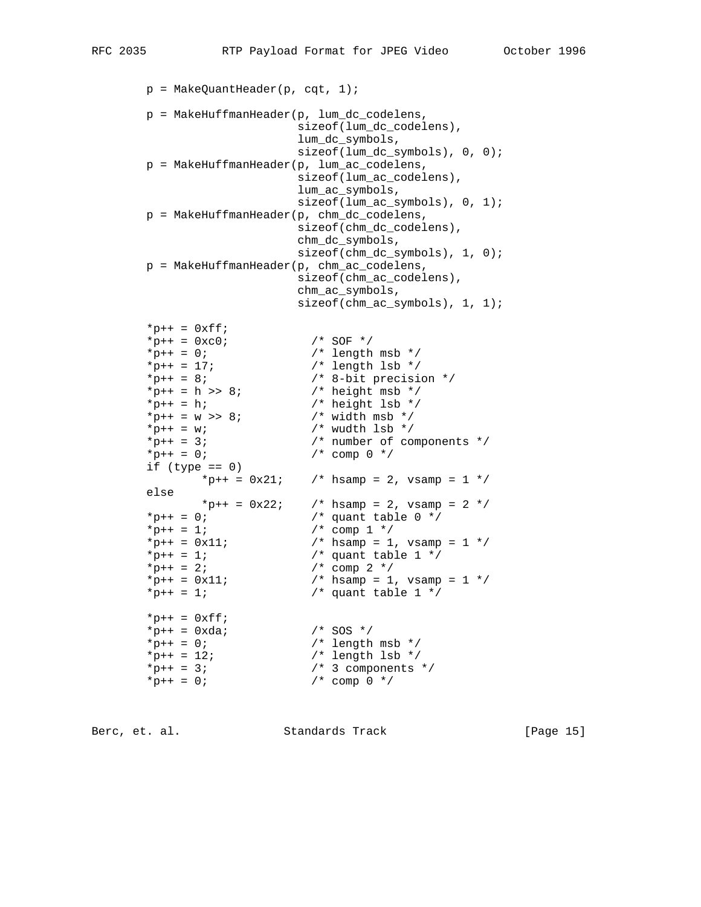```
p = MakeQuantHeader(p, cqt, 1); p = MakeHuffmanHeader(p, lum_dc_codelens,
                         sizeof(lum_dc_codelens),
                         lum_dc_symbols,
                        sizeof(lum_dc_symbols), 0, 0);
       p = MakeHuffmanHeader(p, lum_ac_codelens,
                         sizeof(lum_ac_codelens),
                         lum_ac_symbols,
                        sizeof(lum ac symbols), 0, 1);
       p = MakeHuffmanHeader(p, chm_dc_codelens,
                         sizeof(chm_dc_codelens),
                         chm_dc_symbols,
                        sizeof(chm_dc_symbols), 1, 0);
       p = MakeHuffmanHeader(p, chm_ac_codelens,
                         sizeof(chm_ac_codelens),
                         chm_ac_symbols,
                        sizeof(chm_ac_symbols), 1, 1);
      *_{p++} = 0 \text{xfi};*_{p++} = 0 \times c0; /* SOF */
*_{p++} = 0; /* length msb */
*_{p++} = 17; * length lsb */*_{p++} = 8; /* 8-bit precision */*_{p++} = h \gg 8; /* height msb */
*p++ = h; /* height lsb */
*_{p++} = w \gg 8; /* width msb */
*_{p++} = w; /* wudth lsb */
*p++ = 3; /* number of components */
*_{p++} = 0; /* comp 0 */
      if (type == 0)*_{p++} = 0x21; /* hsamp = 2, vsamp = 1 */
       else
            *p++ = 0x22; /* hsamp = 2, vsamp = 2 */<br>0; /* quant table 0 */
*_{p++} = 0; /* quant table 0 */
*_{p++} = 1; /* comp 1 */
       *p++ = 0x11; /* hsamp = 1, vsamp = 1 */
*_{p++} = 1; /* quant table 1 */
*_{p++} = 2; /* comp 2 */
*_{p++} = 0x11; /* hsamp = 1, vsamp = 1 */
      *p++ = 0x11;<br>
*p++ = 1; /* hsamp = 1, vsamp<br>
*p++ = 1; /* quant table 1 */
      *_{p++} = 0xff;*p++ = 0xda; /* SOS */
*_{p++} = 0; /* length msb */
*_{p++} = 12; /* length lsb */
*_{p++} = 3; /* 3 components */
*_{p++} = 0; /* comp 0 */
```
Berc, et. al. Standards Track [Page 15]